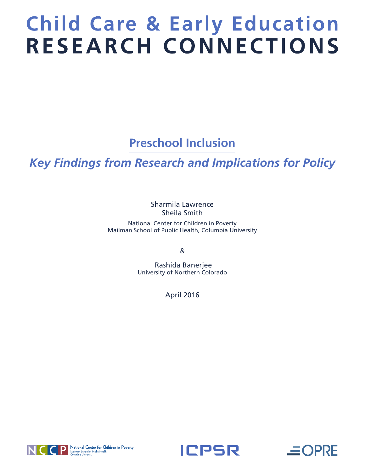# **Child Care & Early Education** RESEARCH CONNECTIONS

**Preschool Inclusion**

*Key Findings from Research and Implications for Policy* 

Sharmila Lawrence Sheila Smith

National Center for Children in Poverty Mailman School of Public Health, Columbia University

&

 Rashida Banerjee University of Northern Colorado

April 2016





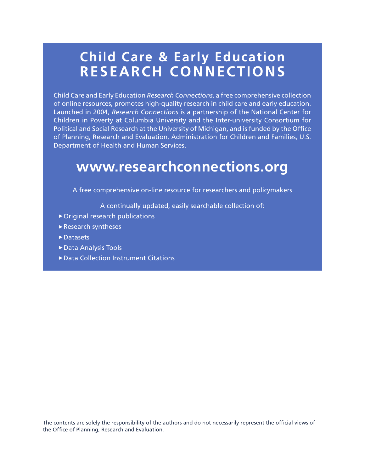# **Child Care & Early Education** RESEARCH CONNECTIONS

Child Care and Early Education *Research Connections*, a free comprehensive collection of online resources, promotes high-quality research in child care and early education. Launched in 2004, *Research Connections* is a partnership of the National Center for Children in Poverty at Columbia University and the Inter-university Consortium for Political and Social Research at the University of Michigan, and is funded by the Office of Planning, Research and Evaluation, Administration for Children and Families, U.S. Department of Health and Human Services.

# **www.researchconnections.org**

A free comprehensive on-line resource for researchers and policymakers

A continually updated, easily searchable collection of:

- Original research publications
- Research syntheses
- ▶ Datasets
- Data Analysis Tools
- ▶ Data Collection Instrument Citations

The contents are solely the responsibility of the authors and do not necessarily represent the official views of the Office of Planning, Research and Evaluation.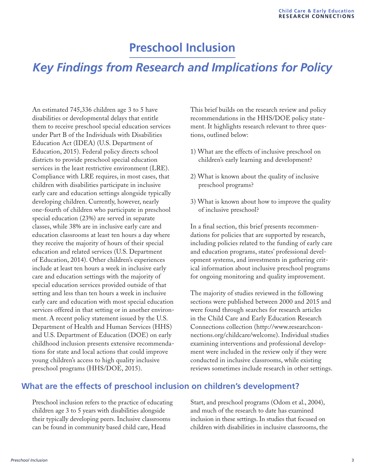# **Preschool Inclusion**

# *Key Findings from Research and Implications for Policy*

An estimated 745,336 children age 3 to 5 have disabilities or developmental delays that entitle them to receive preschool special education services under Part B of the Individuals with Disabilities Education Act (IDEA) (U.S. Department of Education, 2015). Federal policy directs school districts to provide preschool special education services in the least restrictive environment (LRE). Compliance with LRE requires, in most cases, that children with disabilities participate in inclusive early care and education settings alongside typically developing children. Currently, however, nearly one-fourth of children who participate in preschool special education (23%) are served in separate classes, while 38% are in inclusive early care and education classrooms at least ten hours a day where they receive the majority of hours of their special education and related services (U.S. Department of Education, 2014). Other children's experiences include at least ten hours a week in inclusive early care and education settings with the majority of special education services provided outside of that setting and less than ten hours a week in inclusive early care and education with most special education services offered in that setting or in another environment. A recent policy statement issued by the U.S. Department of Health and Human Services (HHS) and U.S. Department of Education (DOE) on early childhood inclusion presents extensive recommendations for state and local actions that could improve young children's access to high quality inclusive preschool programs (HHS/DOE, 2015).

This brief builds on the research review and policy recommendations in the HHS/DOE policy statement. It highlights research relevant to three questions, outlined below:

- 1) What are the effects of inclusive preschool on children's early learning and development?
- 2) What is known about the quality of inclusive preschool programs?
- 3) What is known about how to improve the quality of inclusive preschool?

In a final section, this brief presents recommendations for policies that are supported by research, including policies related to the funding of early care and education programs, states' professional development systems, and investments in gathering critical information about inclusive preschool programs for ongoing monitoring and quality improvement.

The majority of studies reviewed in the following sections were published between 2000 and 2015 and were found through searches for research articles in the Child Care and Early Education Research Connections collection (http://www.researchconnections.org/childcare/welcome). Individual studies examining interventions and professional development were included in the review only if they were conducted in inclusive classrooms, while existing reviews sometimes include research in other settings.

## **What are the effects of preschool inclusion on children's development?**

Preschool inclusion refers to the practice of educating children age 3 to 5 years with disabilities alongside their typically developing peers. Inclusive classrooms can be found in community based child care, Head

Start, and preschool programs (Odom et al., 2004), and much of the research to date has examined inclusion in these settings. In studies that focused on children with disabilities in inclusive classrooms, the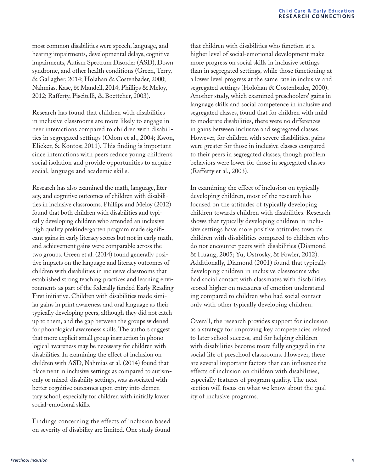most common disabilities were speech, language, and hearing impairments, developmental delays, cognitive impairments, Autism Spectrum Disorder (ASD), Down syndrome, and other health conditions (Green, Terry, & Gallagher, 2014; Holahan & Costenbader, 2000; Nahmias, Kase, & Mandell, 2014; Phillips & Meloy, 2012; Rafferty, Piscitelli, & Boettcher, 2003).

Research has found that children with disabilities in inclusive classrooms are more likely to engage in peer interactions compared to children with disabilities in segregated settings (Odom et al., 2004; Kwon, Elicker, & Kontos; 2011). This finding is important since interactions with peers reduce young children's social isolation and provide opportunities to acquire social, language and academic skills.

Research has also examined the math, language, literacy, and cognitive outcomes of children with disabilities in inclusive classrooms. Phillips and Meloy (2012) found that both children with disabilities and typically developing children who attended an inclusive high quality prekindergarten program made significant gains in early literacy scores but not in early math, and achievement gains were comparable across the two groups. Green et al. (2014) found generally positive impacts on the language and literacy outcomes of children with disabilities in inclusive classrooms that established strong teaching practices and learning environments as part of the federally funded Early Reading First initiative. Children with disabilities made similar gains in print awareness and oral language as their typically developing peers, although they did not catch up to them, and the gap between the groups widened for phonological awareness skills. The authors suggest that more explicit small group instruction in phonological awareness may be necessary for children with disabilities. In examining the effect of inclusion on children with ASD, Nahmias et al. (2014) found that placement in inclusive settings as compared to autismonly or mixed-disability settings, was associated with better cognitive outcomes upon entry into elementary school, especially for children with initially lower social-emotional skills.

Findings concerning the effects of inclusion based on severity of disability are limited. One study found

that children with disabilities who function at a higher level of social-emotional development make more progress on social skills in inclusive settings than in segregated settings, while those functioning at a lower level progress at the same rate in inclusive and segregated settings (Holohan & Costenbader, 2000). Another study, which examined preschoolers' gains in language skills and social competence in inclusive and segregated classes, found that for children with mild to moderate disabilities, there were no differences in gains between inclusive and segregated classes. However, for children with severe disabilities, gains were greater for those in inclusive classes compared to their peers in segregated classes, though problem behaviors were lower for those in segregated classes (Rafferty et al., 2003).

In examining the effect of inclusion on typically developing children, most of the research has focused on the attitudes of typically developing children towards children with disabilities. Research shows that typically developing children in inclusive settings have more positive attitudes towards children with disabilities compared to children who do not encounter peers with disabilities (Diamond & Huang, 2005; Yu, Ostrosky, & Fowler, 2012). Additionally, Diamond (2001) found that typically developing children in inclusive classrooms who had social contact with classmates with disabilities scored higher on measures of emotion understanding compared to children who had social contact only with other typically developing children.

Overall, the research provides support for inclusion as a strategy for improving key competencies related to later school success, and for helping children with disabilities become more fully engaged in the social life of preschool classrooms. However, there are several important factors that can influence the effects of inclusion on children with disabilities, especially features of program quality. The next section will focus on what we know about the quality of inclusive programs.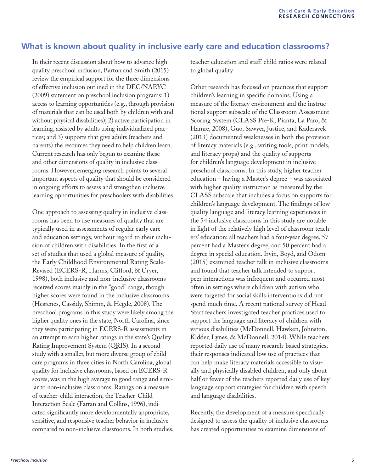## **What is known about quality in inclusive early care and education classrooms?**

In their recent discussion about how to advance high quality preschool inclusion, Barton and Smith (2015) review the empirical support for the three dimensions of effective inclusion outlined in the DEC/NAEYC (2009) statement on preschool inclusion programs: 1) access to learning opportunities (e.g., through provision of materials that can be used both by children with and without physical disabilities); 2) active participation in learning, assisted by adults using individualized practices; and 3) supports that give adults (teachers and parents) the resources they need to help children learn. Current research has only begun to examine these and other dimensions of quality in inclusive classrooms. However, emerging research points to several important aspects of quality that should be considered in ongoing efforts to assess and strengthen inclusive learning opportunities for preschoolers with disabilities.

One approach to assessing quality in inclusive classrooms has been to use measures of quality that are typically used in assessments of regular early care and education settings, without regard to their inclusion of children with disabilities. In the first of a set of studies that used a global measure of quality, the Early Childhood Environmental Rating Scale-Revised (ECERS-R, Harms, Clifford, & Cryer, 1998), both inclusive and non-inclusive classrooms received scores mainly in the "good" range, though higher scores were found in the inclusive classrooms (Hestenes, Cassidy, Shimm, & Hegde, 2008). The preschool programs in this study were likely among the higher quality ones in the state, North Carolina, since they were participating in ECERS-R assessments in an attempt to earn higher ratings in the state's Quality Rating Improvement System (QRIS). In a second study with a smaller, but more diverse group of child care programs in three cities in North Carolina, global quality for inclusive classrooms, based on ECERS-R scores, was in the high average to good range and similar to non-inclusive classrooms. Ratings on a measure of teacher-child interaction, the Teacher-Child Interaction Scale (Farran and Collins, 1996), indicated significantly more developmentally appropriate, sensitive, and responsive teacher behavior in inclusive compared to non-inclusive classrooms. In both studies, teacher education and staff-child ratios were related to global quality.

Other research has focused on practices that support children's learning in specific domains. Using a measure of the literacy environment and the instructional support subscale of the Classroom Assessment Scoring System (CLASS Pre-K; Pianta, La Paro, & Hamre, 2008), Guo, Sawyer, Justice, and Kaderavek (2013) documented weaknesses in both the provision of literacy materials (e.g., writing tools, print models, and literacy props) and the quality of supports for children's language development in inclusive preschool classrooms. In this study, higher teacher education – having a Master's degree – was associated with higher quality instruction as measured by the CLASS subscale that includes a focus on supports for children's language development. The findings of low quality language and literacy learning experiences in the 54 inclusive classrooms in this study are notable in light of the relatively high level of classroom teachers' education; all teachers had a four-year degree, 57 percent had a Master's degree, and 50 percent had a degree in special education. Irvin, Boyd, and Odom (2015) examined teacher talk in inclusive classrooms and found that teacher talk intended to support peer interactions was infrequent and occurred most often in settings where children with autism who were targeted for social skills interventions did not spend much time. A recent national survey of Head Start teachers investigated teacher practices used to support the language and literacy of children with various disabilities (McDonnell, Hawken, Johnston, Kidder, Lynes, & McDonnell, 2014). While teachers reported daily use of many research-based strategies, their responses indicated low use of practices that can help make literacy materials accessible to visually and physically disabled children, and only about half or fewer of the teachers reported daily use of key language support strategies for children with speech and language disabilities.

Recently, the development of a measure specifically designed to assess the quality of inclusive classrooms has created opportunities to examine dimensions of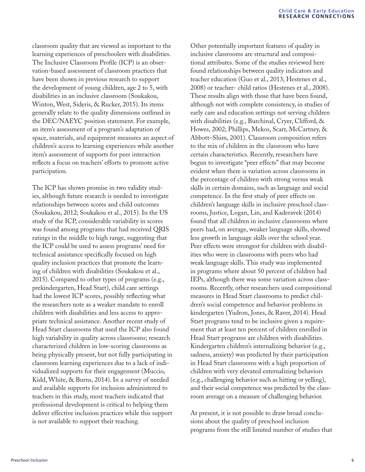classroom quality that are viewed as important to the learning experiences of preschoolers with disabilities. The Inclusive Classroom Profile (ICP) is an observation-based assessment of classroom practices that have been shown in previous research to support the development of young children, age 2 to 5, with disabilities in an inclusive classroom (Soukakou, Winton, West, Sideris, & Rucker, 2015). Its items generally relate to the quality dimensions outlined in the DEC/NAEYC position statement. For example, an item's assessment of a program's adaptation of space, materials, and equipment measures an aspect of children's access to learning experiences while another item's assessment of supports for peer interaction reflects a focus on teachers' efforts to promote active participation.

The ICP has shown promise in two validity studies, although future research is needed to investigate relationships between scores and child outcomes (Soukakou, 2012; Soukakou et al., 2015). In the US study of the ICP, considerable variability in scores was found among programs that had received QRIS ratings in the middle to high range, suggesting that the ICP could be used to assess programs' need for technical assistance specifically focused on high quality inclusion practices that promote the learning of children with disabilities (Soukakou et al., 2015). Compared to other types of programs (e.g., prekindergarten, Head Start), child care settings had the lowest ICP scores, possibly reflecting what the researchers note as a weaker mandate to enroll children with disabilities and less access to appropriate technical assistance. Another recent study of Head Start classrooms that used the ICP also found high variability in quality across classrooms; research characterized children in low-scoring classrooms as being physically present, but not fully participating in classroom learning experiences due to a lack of individualized supports for their engagement (Muccio, Kidd, White, & Burns, 2014). In a survey of needed and available supports for inclusion administered to teachers in this study, most teachers indicated that professional development is critical to helping them deliver effective inclusion practices while this support is not available to support their teaching.

Other potentially important features of quality in inclusive classrooms are structural and compositional attributes. Some of the studies reviewed here found relationships between quality indicators and teacher education (Guo et al., 2013; Hestenes et al., 2008) or teacher- child ratios (Hestenes et al., 2008). These results align with those that have been found, although not with complete consistency, in studies of early care and education settings not serving children with disabilities (e.g., Burchinal, Cryer, Clifford, & Howes, 2002; Phillips, Mekos, Scarr, McCartney, & Abbott–Shim, 2001). Classroom composition refers to the mix of children in the classroom who have certain characteristics. Recently, researchers have begun to investigate "peer effects" that may become evident when there is variation across classrooms in the percentage of children with strong versus weak skills in certain domains, such as language and social competence. In the first study of peer effects on children's language skills in inclusive preschool classrooms, Justice, Logan, Lin, and Kaderavek (2014) found that all children in inclusive classrooms where peers had, on average, weaker language skills, showed less growth in language skills over the school year. Peer effects were strongest for children with disabilities who were in classrooms with peers who had weak language skills. This study was implemented in programs where about 50 percent of children had IEPs, although there was some variation across classrooms. Recently, other researchers used compositional measures in Head Start classrooms to predict children's social competence and behavior problems in kindergarten (Yudron, Jones, & Raver, 2014). Head Start programs tend to be inclusive given a requirement that at least ten percent of children enrolled in Head Start programs are children with disabilities. Kindergarten children's internalizing behavior (e.g., sadness, anxiety) was predicted by their participation in Head Start classrooms with a high proportion of children with very elevated externalizing behaviors (e.g., challenging behavior such as hitting or yelling), and their social competence was predicted by the classroom average on a measure of challenging behavior.

At present, it is not possible to draw broad conclusions about the quality of preschool inclusion programs from the still limited number of studies that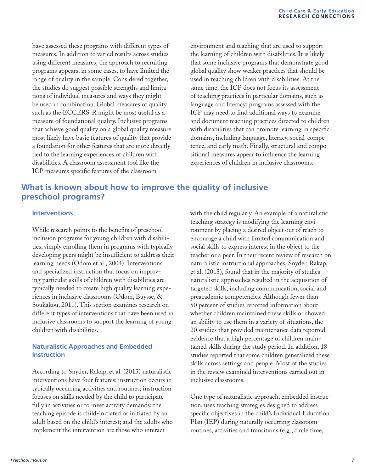have assessed these programs with different types of measures. In addition to varied results across studies using different measures, the approach to recruiting programs appears, in some cases, to have limited the range of quality in the sample. Considered together, the studies do suggest possible strengths and limitations of individual measures and ways they might be used in combination. Global measures of quality such as the ECCERS-R might be most useful as a measure of foundational quality. Inclusive programs that achieve good quality on a global quality measure most likely have basic features of quality that provide a foundation for other features that are more directly tied to the learning experiences of children with disabilities. A classroom assessment tool like the ICP measures specific features of the classroom

environment and teaching that are used to support the learning of children with disabilities. It is likely that some inclusive programs that demonstrate good global quality show weaker practices that should be used in teaching children with disabilities. At the same time, the ICP does not focus its assessment of teaching practices in particular domains, such as language and literacy; programs assessed with the ICP may need to find additional ways to examine and document teaching practices directed to children with disabilities that can promote learning in specific domains, including language, literacy, social-competence, and early math. Finally, structural and compositional measures appear to influence the learning experiences of children in inclusive classrooms.

### **What is known about how to improve the quality of inclusive preschool programs?**

#### **Interventions**

While research points to the benefits of preschool inclusion programs for young children with disabilities, simply enrolling them in programs with typically developing peers might be insufficient to address their learning needs (Odom et al., 2004). Interventions and specialized instruction that focus on improving particular skills of children with disabilities are typically needed to create high quality learning experiences in inclusive classrooms (Odom, Buysse, & Soukakou, 2011). This section examines research on different types of interventions that have been used in inclusive classrooms to support the learning of young children with disabilities.

#### **Naturalistic Approaches and Embedded Instruction**

According to Snyder, Rakap, et al. (2015) naturalistic interventions have four features: instruction occurs in typically occurring activities and routines; instruction focuses on skills needed by the child to participate fully in activities or to meet activity demands; the teaching episode is child-initiated or initiated by an adult based on the child's interest; and the adults who implement the intervention are those who interact

with the child regularly. An example of a naturalistic teaching strategy is modifying the learning environment by placing a desired object out of reach to encourage a child with limited communication and social skills to express interest in the object to the teacher or a peer. In their recent review of research on naturalistic instructional approaches, Snyder, Rakap, et al. (2015), found that in the majority of studies naturalistic approaches resulted in the acquisition of targeted skills, including communication, social and preacademic competencies. Although fewer than 50 percent of studies reported information about whether children maintained these skills or showed an ability to use them in a variety of situations, the 20 studies that provided maintenance data reported evidence that a high percentage of children maintained skills during the study period. In addition, 18 studies reported that some children generalized these skills across settings and people. Most of the studies in the review examined interventions carried out in inclusive classrooms.

One type of naturalistic approach, embedded instruction, uses teaching strategies designed to address specific objectives in the child's Individual Education Plan (IEP) during naturally occurring classroom routines, activities and transitions (e.g., circle time,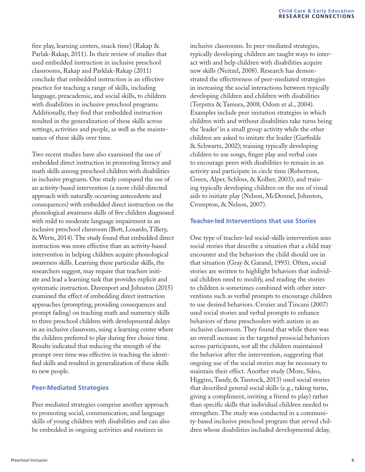free play, learning centers, snack time) (Rakap & Parlak-Rakap, 2011). In their review of studies that used embedded instruction in inclusive preschool classrooms, Rakap and Parklak-Rakap (2011) conclude that embedded instruction is an effective practice for teaching a range of skills, including language, preacademic, and social skills, to children with disabilities in inclusive preschool programs. Additionally, they find that embedded instruction resulted in the generalization of these skills across settings, activities and people, as well as the maintenance of these skills over time.

Two recent studies have also examined the use of embedded direct instruction in promoting literacy and math skills among preschool children with disabilities in inclusive programs. One study compared the use of an activity-based intervention (a more child-directed approach with naturally occurring antecedents and consequences) with embedded direct instruction on the phonological awareness skills of five children diagnosed with mild to moderate language impairment in an inclusive preschool classroom (Bott, Losardo, Tillery, & Werts, 2014). The study found that embedded direct instruction was more effective than an activity-based intervention in helping children acquire phonological awareness skills. Learning these particular skills, the researchers suggest, may require that teachers initiate and lead a learning task that provides explicit and systematic instruction. Davenport and Johnston (2015) examined the effect of embedding direct instruction approaches (prompting, providing consequences and prompt fading) on teaching math and numeracy skills to three preschool children with developmental delays in an inclusive classroom, using a learning center where the children preferred to play during free choice time. Results indicated that reducing the strength of the prompt over time was effective in teaching the identified skills and resulted in generalization of these skills to new people.

#### **Peer-Mediated Strategies**

Peer mediated strategies comprise another approach to promoting social, communication, and language skills of young children with disabilities and can also be embedded in ongoing activities and routines in

inclusive classrooms. In peer-mediated strategies, typically developing children are taught ways to interact with and help children with disabilities acquire new skills (Neitzel, 2008). Research has demonstrated the effectiveness of peer-mediated strategies in increasing the social interactions between typically developing children and children with disabilities (Terpstra & Tamura, 2008; Odom et al., 2004). Examples include peer imitation strategies in which children with and without disabilities take turns being the 'leader' in a small group activity while the other children are asked to imitate the leader (Garfinkle & Schwartz, 2002); training typically developing children to use songs, finger play and verbal cues to encourage peers with disabilities to remain in an activity and participate in circle time (Robertson, Green, Alper, Schloss, & Kolher, 2003); and training typically developing children on the use of visual aids to initiate play (Nelson, McDonnel, Johnston, Crompton, & Nelson, 2007).

#### **Teacher-led Interventions that use Stories**

One type of teacher-led social-skills intervention uses social stories that describe a situation that a child may encounter and the behaviors the child should use in that situation (Gray & Garand, 1993). Often, social stories are written to highlight behaviors that individual children need to modify, and reading the stories to children is sometimes combined with other interventions such as verbal prompts to encourage children to use desired behaviors. Crozier and Tincani (2007) used social stories and verbal prompts to enhance behaviors of three preschoolers with autism in an inclusive classroom. They found that while there was an overall increase in the targeted prosocial behaviors across participants, not all the children maintained the behavior after the intervention, suggesting that ongoing use of the social stories may be necessary to maintain their effect. Another study (More, Sileo, Higgins, Tandy, & Tannock, 2013) used social stories that described general social skills (e.g., taking turns, giving a compliment, inviting a friend to play) rather than specific skills that individual children needed to strengthen. The study was conducted in a community-based inclusive preschool program that served children whose disabilities included developmental delay,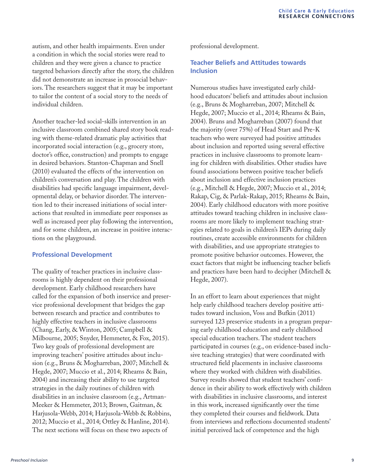autism, and other health impairments. Even under a condition in which the social stories were read to children and they were given a chance to practice targeted behaviors directly after the story, the children did not demonstrate an increase in prosocial behaviors. The researchers suggest that it may be important to tailor the content of a social story to the needs of individual children.

Another teacher-led social-skills intervention in an inclusive classroom combined shared story book reading with theme-related dramatic play activities that incorporated social interaction (e.g., grocery store, doctor's office, construction) and prompts to engage in desired behaviors. Stanton-Chapman and Snell (2010) evaluated the effects of the intervention on children's conversation and play. The children with disabilities had specific language impairment, developmental delay, or behavior disorder. The intervention led to their increased initiations of social interactions that resulted in immediate peer responses as well as increased peer play following the intervention, and for some children, an increase in positive interactions on the playground.

#### **Professional Development**

The quality of teacher practices in inclusive classrooms is highly dependent on their professional development. Early childhood researchers have called for the expansion of both inservice and preservice professional development that bridges the gap between research and practice and contributes to highly effective teachers in inclusive classrooms (Chang, Early, & Winton, 2005; Campbell & Milbourne, 2005; Snyder, Hemmeter, & Fox, 2015). Two key goals of professional development are improving teachers' positive attitudes about inclusion (e.g., Bruns & Mogharreban, 2007; Mitchell & Hegde, 2007; Muccio et al., 2014; Rheams & Bain, 2004) and increasing their ability to use targeted strategies in the daily routines of children with disabilities in an inclusive classroom (e.g., Artman-Meeker & Hemmeter, 2013; Brown, Gaitman, & Harjusola-Webb, 2014; Harjusola-Webb & Robbins, 2012; Muccio et al., 2014; Ottley & Hanline, 2014). The next sections will focus on these two aspects of

professional development.

#### **Teacher Beliefs and Attitudes towards Inclusion**

Numerous studies have investigated early childhood educators' beliefs and attitudes about inclusion (e.g., Bruns & Mogharreban, 2007; Mitchell & Hegde, 2007; Muccio et al., 2014; Rheams & Bain, 2004). Bruns and Mogharreban (2007) found that the majority (over 75%) of Head Start and Pre-K teachers who were surveyed had positive attitudes about inclusion and reported using several effective practices in inclusive classrooms to promote learning for children with disabilities. Other studies have found associations between positive teacher beliefs about inclusion and effective inclusion practices (e.g., Mitchell & Hegde, 2007; Muccio et al., 2014; Rakap, Cig, & Parlak-Rakap, 2015; Rheams & Bain, 2004). Early childhood educators with more positive attitudes toward teaching children in inclusive classrooms are more likely to implement teaching strategies related to goals in children's IEPs during daily routines, create accessible environments for children with disabilities, and use appropriate strategies to promote positive behavior outcomes. However, the exact factors that might be influencing teacher beliefs and practices have been hard to decipher (Mitchell & Hegde, 2007).

In an effort to learn about experiences that might help early childhood teachers develop positive attitudes toward inclusion, Voss and Bufkin (2011) surveyed 123 preservice students in a program preparing early childhood education and early childhood special education teachers. The student teachers participated in courses (e.g., on evidence-based inclusive teaching strategies) that were coordinated with structured field placements in inclusive classrooms where they worked with children with disabilities. Survey results showed that student teachers' confidence in their ability to work effectively with children with disabilities in inclusive classrooms, and interest in this work, increased significantly over the time they completed their courses and fieldwork. Data from interviews and reflections documented students' initial perceived lack of competence and the high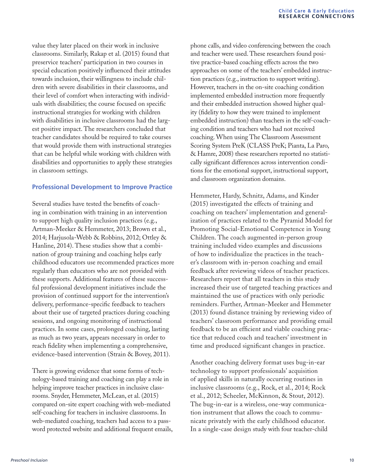value they later placed on their work in inclusive classrooms. Similarly, Rakap et al. (2015) found that preservice teachers' participation in two courses in special education positively influenced their attitudes towards inclusion, their willingness to include children with severe disabilities in their classrooms, and their level of comfort when interacting with individuals with disabilities; the course focused on specific instructional strategies for working with children with disabilities in inclusive classrooms had the largest positive impact. The researchers concluded that teacher candidates should be required to take courses that would provide them with instructional strategies that can be helpful while working with children with disabilities and opportunities to apply these strategies in classroom settings.

#### **Professional Development to Improve Practice**

Several studies have tested the benefits of coaching in combination with training in an intervention to support high quality inclusion practices (e.g., Artman-Meeker & Hemmeter, 2013; Brown et al., 2014; Harjusola-Webb & Robbins, 2012; Ottley & Hanline, 2014). These studies show that a combination of group training and coaching helps early childhood educators use recommended practices more regularly than educators who are not provided with these supports. Additional features of these successful professional development initiatives include the provision of continued support for the intervention's delivery, performance-specific feedback to teachers about their use of targeted practices during coaching sessions, and ongoing monitoring of instructional practices. In some cases, prolonged coaching, lasting as much as two years, appears necessary in order to reach fidelity when implementing a comprehensive, evidence-based intervention (Strain & Bovey, 2011).

There is growing evidence that some forms of technology-based training and coaching can play a role in helping improve teacher practices in inclusive classrooms. Snyder, Hemmeter, McLean, et al. (2015) compared on-site expert coaching with web-mediated self-coaching for teachers in inclusive classrooms. In web-mediated coaching, teachers had access to a password protected website and additional frequent emails,

phone calls, and video conferencing between the coach and teacher were used. These researchers found positive practice-based coaching effects across the two approaches on some of the teachers' embedded instruction practices (e.g., instruction to support writing). However, teachers in the on-site coaching condition implemented embedded instruction more frequently and their embedded instruction showed higher quality (fidelity to how they were trained to implement embedded instruction) than teachers in the self-coaching condition and teachers who had not received coaching. When using The Classroom Assessment Scoring System PreK (CLASS PreK; Pianta, La Paro, & Hamre, 2008) these researchers reported no statistically significant differences across intervention conditions for the emotional support, instructional support, and classroom organization domains.

Hemmeter, Hardy, Schnitz, Adams, and Kinder (2015) investigated the effects of training and coaching on teachers' implementation and generalization of practices related to the Pyramid Model for Promoting Social-Emotional Competence in Young Children. The coach augmented in-person group training included video examples and discussions of how to individualize the practices in the teacher's classroom with in-person coaching and email feedback after reviewing videos of teacher practices. Researchers report that all teachers in this study increased their use of targeted teaching practices and maintained the use of practices with only periodic reminders. Further, Artman-Meeker and Hemmeter (2013) found distance training by reviewing video of teachers' classroom performance and providing email feedback to be an efficient and viable coaching practice that reduced coach and teachers' investment in time and produced significant changes in practice.

Another coaching delivery format uses bug-in-ear technology to support professionals' acquisition of applied skills in naturally occurring routines in inclusive classrooms (e.g., Rock, et al., 2014; Rock et al., 2012; Scheeler, McKinnon, & Stout, 2012). The bug-in-ear is a wireless, one-way communication instrument that allows the coach to communicate privately with the early childhood educator. In a single-case design study with four teacher-child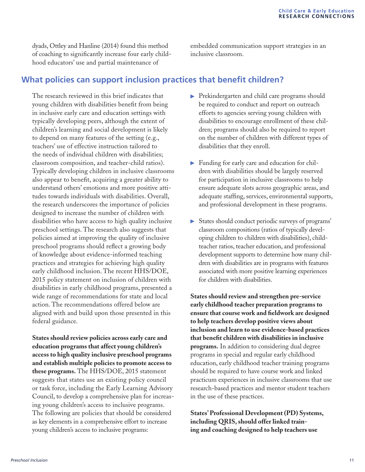dyads, Ottley and Hanline (2014) found this method of coaching to significantly increase four early childhood educators' use and partial maintenance of

embedded communication support strategies in an inclusive classroom.

# **What policies can support inclusion practices that benefit children?**

The research reviewed in this brief indicates that young children with disabilities benefit from being in inclusive early care and education settings with typically developing peers, although the extent of children's learning and social development is likely to depend on many features of the setting (e.g., teachers' use of effective instruction tailored to the needs of individual children with disabilities; classroom composition, and teacher-child ratios). Typically developing children in inclusive classrooms also appear to benefit, acquiring a greater ability to understand others' emotions and more positive attitudes towards individuals with disabilities. Overall, the research underscores the importance of policies designed to increase the number of children with disabilities who have access to high quality inclusive preschool settings. The research also suggests that policies aimed at improving the quality of inclusive preschool programs should reflect a growing body of knowledge about evidence-informed teaching practices and strategies for achieving high quality early childhood inclusion. The recent HHS/DOE, 2015 policy statement on inclusion of children with disabilities in early childhood programs, presented a wide range of recommendations for state and local action. The recommendations offered below are aligned with and build upon those presented in this federal guidance.

**States should review policies across early care and education programs that affect young children's access to high quality inclusive preschool programs and establish multiple policies to promote access to these programs.** The HHS/DOE, 2015 statement suggests that states use an existing policy council or task force, including the Early Learning Advisory Council, to develop a comprehensive plan for increasing young children's access to inclusive programs. The following are policies that should be considered as key elements in a comprehensive effort to increase young children's access to inclusive programs:

- **Prekindergarten and child care programs should** be required to conduct and report on outreach efforts to agencies serving young children with disabilities to encourage enrollment of these children; programs should also be required to report on the number of children with different types of disabilities that they enroll.
- ` Funding for early care and education for children with disabilities should be largely reserved for participation in inclusive classrooms to help ensure adequate slots across geographic areas, and adequate staffing, services, environmental supports, and professional development in these programs.
- ` States should conduct periodic surveys of programs' classroom compositions (ratios of typically developing children to children with disabilities), childteacher ratios, teacher education, and professional development supports to determine how many children with disabilities are in programs with features associated with more positive learning experiences for children with disabilities.

**States should review and strengthen pre-service early childhood teacher preparation programs to ensure that course work and fieldwork are designed to help teachers develop positive views about inclusion and learn to use evidence-based practices that benefit children with disabilities in inclusive programs.** In addition to considering dual degree programs in special and regular early childhood education, early childhood teacher training programs should be required to have course work and linked practicum experiences in inclusive classrooms that use research-based practices and mentor student teachers in the use of these practices.

**States' Professional Development (PD) Systems, including QRIS, should offer linked training and coaching designed to help teachers use**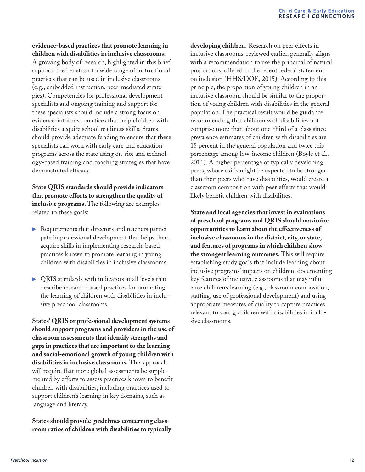#### **evidence-based practices that promote learning in children with disabilities in inclusive classrooms.**

A growing body of research, highlighted in this brief, supports the benefits of a wide range of instructional practices that can be used in inclusive classrooms (e.g., embedded instruction, peer-mediated strategies). Competencies for professional development specialists and ongoing training and support for these specialists should include a strong focus on evidence-informed practices that help children with disabilities acquire school readiness skills. States should provide adequate funding to ensure that these specialists can work with early care and education programs across the state using on-site and technology-based training and coaching strategies that have demonstrated efficacy.

**State QRIS standards should provide indicators that promote efforts to strengthen the quality of inclusive programs.** The following are examples related to these goals:

- ` Requirements that directors and teachers participate in professional development that helps them acquire skills in implementing research-based practices known to promote learning in young children with disabilities in inclusive classrooms.
- $\triangleright$  QRIS standards with indicators at all levels that describe research-based practices for promoting the learning of children with disabilities in inclusive preschool classrooms.

**States' QRIS or professional development systems should support programs and providers in the use of classroom assessments that identify strengths and gaps in practices that are important to the learning and social-emotional growth of young children with disabilities in inclusive classrooms.** This approach will require that more global assessments be supplemented by efforts to assess practices known to benefit children with disabilities, including practices used to support children's learning in key domains, such as language and literacy.

**States should provide guidelines concerning classroom ratios of children with disabilities to typically**  **developing children.** Research on peer effects in inclusive classrooms, reviewed earlier, generally aligns with a recommendation to use the principal of natural proportions, offered in the recent federal statement on inclusion (HHS/DOE, 2015). According to this principle, the proportion of young children in an inclusive classroom should be similar to the proportion of young children with disabilities in the general population. The practical result would be guidance recommending that children with disabilities not comprise more than about one-third of a class since prevalence estimates of children with disabilities are 15 percent in the general population and twice this percentage among low-income children (Boyle et al., 2011). A higher percentage of typically developing peers, whose skills might be expected to be stronger than their peers who have disabilities, would create a classroom composition with peer effects that would likely benefit children with disabilities.

**State and local agencies that invest in evaluations of preschool programs and QRIS should maximize opportunities to learn about the effectiveness of inclusive classrooms in the district, city, or state, and features of programs in which children show the strongest learning outcomes.** This will require establishing study goals that include learning about inclusive programs' impacts on children, documenting key features of inclusive classrooms that may influence children's learning (e.g., classroom composition, staffing, use of professional development) and using appropriate measures of quality to capture practices relevant to young children with disabilities in inclusive classrooms.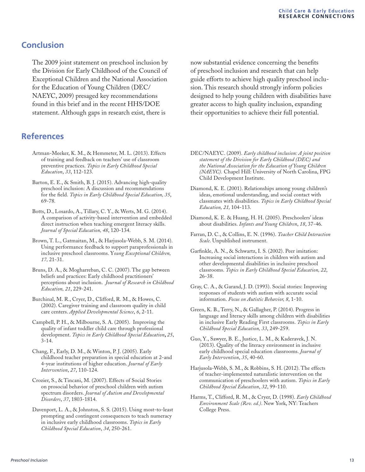### **Conclusion**

The 2009 joint statement on preschool inclusion by the Division for Early Childhood of the Council of Exceptional Children and the National Association for the Education of Young Children (DEC/ NAEYC, 2009) presaged key recommendations found in this brief and in the recent HHS/DOE statement. Although gaps in research exist, there is

### **References**

- Artman-Meeker, K. M., & Hemmeter, M. L. (2013). Effects of training and feedback on teachers' use of classroom preventive practices. *Topics in Early Childhood Special Education*, *33*, 112-123.
- Barton, E. E., & Smith, B. J. (2015). Advancing high-quality preschool inclusion: A discussion and recommendations for the field. *Topics in Early Childhood Special Education, 35*, 69-78*.*
- Botts, D., Losardo, A., Tillary, C. Y., & Werts, M. G. (2014). A comparison of activity-based intervention and embedded direct instruction when teaching emergent literacy skills. *Journal of Special Education, 48*, 120-134.
- Brown, T. L., Gatmaitan, M., & Harjusola-Webb, S. M. (2014). Using performance feedback to support paraprofessionals in inclusive preschool classrooms. Y*oung Exceptional Children, 17,* 21-31.
- Bruns, D. A., & Mogharreban, C. C. (2007). The gap between beliefs and practices: Early childhood practitioners' perceptions about inclusion. *Journal of Research in Childhood Education, 21*, 229-241.
- Burchinal, M. R., Cryer, D., Clifford, R. M., & Howes, C. (2002). Caregiver training and classroom quality in child care centers. *Applied Developmental Science*, *6*, 2-11.
- Campbell, P. H., & Milbourne, S. A. (2005). Improving the quality of infant toddler child care through professional development. *Topics in Early Childhood Special Education***,** *25*, 3-14.
- Chang, F., Early, D. M., & Winton, P. J. (2005). Early childhood teacher preparation in special education at 2-and 4-year institutions of higher education. *Journal of Early Intervention*, *27*, 110-124.
- Crozier, S., & Tincani, M. (2007). Effects of Social Stories on prosocial behavior of preschool children with autism spectrum disorders. *Journal of Autism and Developmental Disorders*, *37*, 1803-1814.
- Davenport, L. A., & Johnston, S. S. (2015). Using most-to-least prompting and contingent consequences to teach numeracy in inclusive early childhood classrooms. *Topics in Early Childhood Special Education*, *34*, 250-261.

now substantial evidence concerning the benefits of preschool inclusion and research that can help guide efforts to achieve high quality preschool inclusion. This research should strongly inform policies designed to help young children with disabilities have greater access to high quality inclusion, expanding their opportunities to achieve their full potential.

- DEC/NAEYC. (2009). *Early childhood inclusion: A joint position statement of the Division for Early Childhood (DEC) and the National Association for the Education of Young Children (NAEYC).* Chapel Hill: University of North Carolina, FPG Child Development Institute.
- Diamond, K. E. (2001). Relationships among young children's ideas, emotional understanding, and social contact with classmates with disabilities. *Topics in Early Childhood Special Education, 21,* 104-113.
- Diamond, K. E. & Huang, H. H. (2005). Preschoolers' ideas about disabilities. *Infants and Young Children*, *18*, 37-46.
- Farran, D. C., & Collins, E. N. (1996). *Teacher Child Interaction Scale*. Unpublished instrument.
- Garfinkle, A. N., & Schwartz, I. S. (2002). Peer imitation: Increasing social interactions in children with autism and other developmental disabilities in inclusive preschool classrooms. *Topics in Early Childhood Special Education, 22*, 26-38.
- Gray, C. A., & Garand, J. D. (1993). Social stories: Improving responses of students with autism with accurate social information. *Focus on Autistic Behavior, 8*, 1-10.
- Green, K. B., Terry, N., & Gallagher, P. (2014). Progress in language and literacy skills among children with disabilities in inclusive Early Reading First classrooms. *Topics in Early Childhood Special Education, 33*, 249-259.
- Guo, Y., Sawyer, B. E., Justice, L. M., & Kaderavek, J. N. (2013). Quality of the literacy environment in inclusive early childhood special education classrooms. *Journal of Early Intervention*, *35*, 40-60.
- Harjusola-Webb, S. M., & Robbins, S. H. (2012). The effects of teacher-implemented naturalistic intervention on the communication of preschoolers with autism. *Topics in Early Childhood Special Education*, *32*, 99-110.
- Harms, T., Clifford, R. M., & Cryer, D. (1998). *Early Childhood Environment Scale (Rev. ed.)*. New York, NY: Teachers College Press.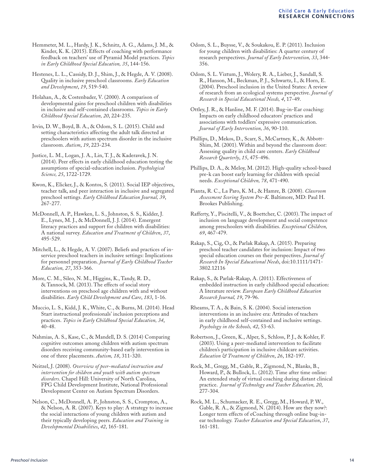Hemmeter, M. L., Hardy, J. K., Schnitz, A. G., Adams, J. M., & Kinder, K. K. (2015). Effects of coaching with performance feedback on teachers' use of Pyramid Model practices. *Topics in Early Childhood Special Education, 35*, 144-156.

Hestenes, L. L., Cassidy, D. J., Shim, J., & Hegde, A. V. (2008). Quality in inclusive preschool classrooms. *Early Education and Development*, *19*, 519-540.

Holahan, A., & Costenbader, V. (2000). A comparison of developmental gains for preschool children with disabilities in inclusive and self-contained classrooms. *Topics in Early Childhood Special Education, 20*, 224-235.

Irvin, D. W., Boyd, B. A., & Odom, S. L. (2015). Child and setting characteristics affecting the adult talk directed at preschoolers with autism spectrum disorder in the inclusive classroom. *Autism*, *19*, 223-234.

Justice, L. M., Logan, J. A., Lin, T. J., & Kaderavek, J. N. (2014). Peer effects in early childhood education testing the assumptions of special-education inclusion. *Psychological Science, 25*, 1722-1729*.*

Kwon, K., Elicker, J., & Kontos, S. (2011). Social IEP objectives, teacher talk, and peer interaction in inclusive and segregated preschool settings. *Early Childhood Education Journal, 39*, 267-277.

McDonnell, A. P., Hawken, L. S., Johnston, S. S., Kidder, J. E., Lynes, M. J., & McDonnell, J. J. (2014). Emergent literacy practices and support for children with disabilities: A national survey. *Education and Treatment of Children*, *37*, 495-529.

Mitchell, L., & Hegde, A. V. (2007). Beliefs and practices of inservice preschool teachers in inclusive settings: Implications for personnel preparation. *Journal of Early Childhood Teacher Education, 27*, 353-366.

More, C. M., Sileo, N. M., Higgins, K., Tandy, R. D., & Tannock, M. (2013). The effects of social story interventions on preschool age children with and without disabilities. *Early Child Development and Care*, *183*, 1-16.

Muccio, L. S., Kidd, J. K., White, C., & Burns, M. (2014). Head Start instructional professionals' inclusion perceptions and practices. *Topics in Early Childhood Special Education, 34*, 40-48.

Nahmias, A. S., Kase, C., & Mandell, D. S. (2014) Comparing cognitive outcomes among children with autism spectrum disorders receiving community-based early intervention in one of three placements. *Autism, 18*, 311-320.

Neitzel, J. (2008). *Overview of peer-mediated instruction and intervention for children and youth with autism spectrum disorders*. Chapel Hill: University of North Carolina, FPG Child Development Institute, National Professional Development Center on Autism Spectrum Disorders.

Nelson, C., McDonnell, A. P., Johnston, S. S., Crompton, A., & Nelson, A. R. (2007). Keys to play: A strategy to increase the social interactions of young children with autism and their typically developing peers. *Education and Training in Developmental Disabilities*, *42*, 165-181.

Odom, S. L., Buysse, V., & Soukakou, E. P. (2011). Inclusion for young children with disabilities: A quarter century of research perspectives. *Journal of Early Intervention, 33*, 344- 356.

Odom, S. L. Viztum, J., Wolery, R. A., Lieber, J., Sandall, S. R., Hanson, M., Beckman, P. J., Schwartz, I., & Horn, E. (2004). Preschool inclusion in the United States: A review of research from an ecological systems perspective. *Journal of Research in Special Educational Needs, 4*, 17-49.

Ottley, J. R., & Hanline, M. F. (2014). Bug-in-Ear coaching: Impacts on early childhood educators' practices and associations with toddlers' expressive communication. *Journal of Early Intervention, 36*, 90-110.

Phillips, D., Mekos, D., Scarr, S., McCartney, K., & Abbott-Shim, M. (2001). Within and beyond the classroom door: Assessing quality in child care centers. *Early Childhood Research Quarterly*, *15*, 475-496.

Phillips, D. A., & Meloy, M. (2012). High-quality school-based pre-k can boost early learning for children with special needs. *Exceptional Children, 78*, 471-490.

Pianta, R. C., La Paro, K. M., & Hamre, B. (2008). *Classroom Assessment Scoring System Pre-K*. Baltimore, MD: Paul H. Brookes Publishing.

Rafferty, Y., Piscitelli, V., & Boettcher, C. (2003). The impact of inclusion on language development and social competence among preschoolers with disabilities. *Exceptional Children, 69*, 467-479.

Rakap, S., Cig, O., & Parlak‐Rakap, A. (2015). Preparing preschool teacher candidates for inclusion: Impact of two special education courses on their perspectives. *Journal of Research In Special Educational Needs*, doi:10.1111/1471- 3802.12116

Rakap, S., & Parlak-Rakap, A. (2011). Effectiveness of embedded instruction in early childhood special education: A literature review. *European Early Childhood Education Research Journal, 19*, 79-96.

Rheams, T. A., & Bain, S. K. (2004). Social interaction interventions in an inclusive era: Attitudes of teachers in early childhood self-contained and inclusive settings. *Psychology in the Schools, 42*, 53-63.

Robertson, J., Green, K., Alper, S., Schloss, P. J., & Kohler, F. (2003). Using a peer-mediated intervention to facilitate children's participation in inclusive childcare activities. *Education & Treatment of Children*, *26*, 182-197.

Rock, M., Gregg, M., Gable, R., Zigmond, N., Blanks, B., Howard, P., & Bullock, L. (2012). Time after time online: An extended study of virtual coaching during distant clinical practice. *Journal of Technology and Teacher Education, 20*, 277-304.

Rock, M. L., Schumacker, R. E., Gregg, M., Howard, P. W., Gable, R. A., & Zigmond, N. (2014). How are they now?: Longer term effects of eCoaching through online bug-inear technology. *Teacher Education and Special Education*, *37*, 161-181.